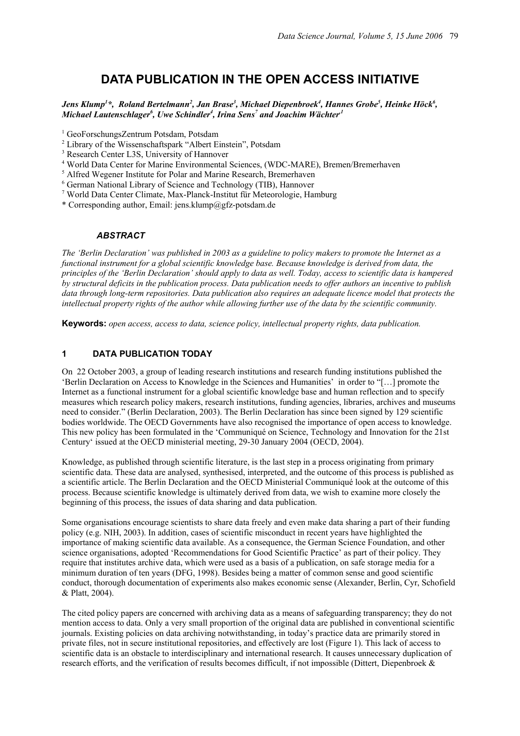# **DATA PUBLICATION IN THE OPEN ACCESS INITIATIVE**

Jens Klump<sup>1\*</sup>, Roland Bertelmann<sup>2</sup>, Jan Brase<sup>3</sup>, Michael Diepenbroek<sup>4</sup>, Hannes Grobe<sup>5</sup>, Heinke Höck<sup>6</sup>,  $M$ ichael Lautenschlager $^6$ , Uwe Schindler $^4$ , Irina Sens<sup>7</sup> and Joachim Wächter $^1$ 

<sup>1</sup> GeoForschungsZentrum Potsdam, Potsdam

<sup>2</sup> Library of the Wissenschaftspark "Albert Einstein", Potsdam

3 Research Center L3S, University of Hannover

4 World Data Center for Marine Environmental Sciences, (WDC-MARE), Bremen/Bremerhaven

<sup>5</sup> Alfred Wegener Institute for Polar and Marine Research, Bremerhaven

6 German National Library of Science and Technology (TIB), Hannover

7 World Data Center Climate, Max-Planck-Institut für Meteorologie, Hamburg

\* Corresponding author, Email: jens.klump@gfz-potsdam.de

#### *ABSTRACT*

*The 'Berlin Declaration' was published in 2003 as a guideline to policy makers to promote the Internet as a functional instrument for a global scientific knowledge base. Because knowledge is derived from data, the principles of the 'Berlin Declaration' should apply to data as well. Today, access to scientific data is hampered by structural deficits in the publication process. Data publication needs to offer authors an incentive to publish data through long-term repositories. Data publication also requires an adequate licence model that protects the intellectual property rights of the author while allowing further use of the data by the scientific community.*

**Keywords:** *open access, access to data, science policy, intellectual property rights, data publication.*

### **1 DATA PUBLICATION TODAY**

On 22 October 2003, a group of leading research institutions and research funding institutions published the 'Berlin Declaration on Access to Knowledge in the Sciences and Humanities' in order to "[…] promote the Internet as a functional instrument for a global scientific knowledge base and human reflection and to specify measures which research policy makers, research institutions, funding agencies, libraries, archives and museums need to consider." (Berlin Declaration, 2003). The Berlin Declaration has since been signed by 129 scientific bodies worldwide. The OECD Governments have also recognised the importance of open access to knowledge. This new policy has been formulated in the 'Communiqué on Science, Technology and Innovation for the 21st Century' issued at the OECD ministerial meeting, 29-30 January 2004 (OECD, 2004).

Knowledge, as published through scientific literature, is the last step in a process originating from primary scientific data. These data are analysed, synthesised, interpreted, and the outcome of this process is published as a scientific article. The Berlin Declaration and the OECD Ministerial Communiqué look at the outcome of this process. Because scientific knowledge is ultimately derived from data, we wish to examine more closely the beginning of this process, the issues of data sharing and data publication.

Some organisations encourage scientists to share data freely and even make data sharing a part of their funding policy (e.g. NIH, 2003). In addition, cases of scientific misconduct in recent years have highlighted the importance of making scientific data available. As a consequence, the German Science Foundation, and other science organisations, adopted 'Recommendations for Good Scientific Practice' as part of their policy. They require that institutes archive data, which were used as a basis of a publication, on safe storage media for a minimum duration of ten years (DFG, 1998). Besides being a matter of common sense and good scientific conduct, thorough documentation of experiments also makes economic sense (Alexander, Berlin, Cyr, Schofield & Platt, 2004).

The cited policy papers are concerned with archiving data as a means of safeguarding transparency; they do not mention access to data. Only a very small proportion of the original data are published in conventional scientific journals. Existing policies on data archiving notwithstanding, in today's practice data are primarily stored in private files, not in secure institutional repositories, and effectively are lost (Figure 1). This lack of access to scientific data is an obstacle to interdisciplinary and international research. It causes unnecessary duplication of research efforts, and the verification of results becomes difficult, if not impossible (Dittert, Diepenbroek &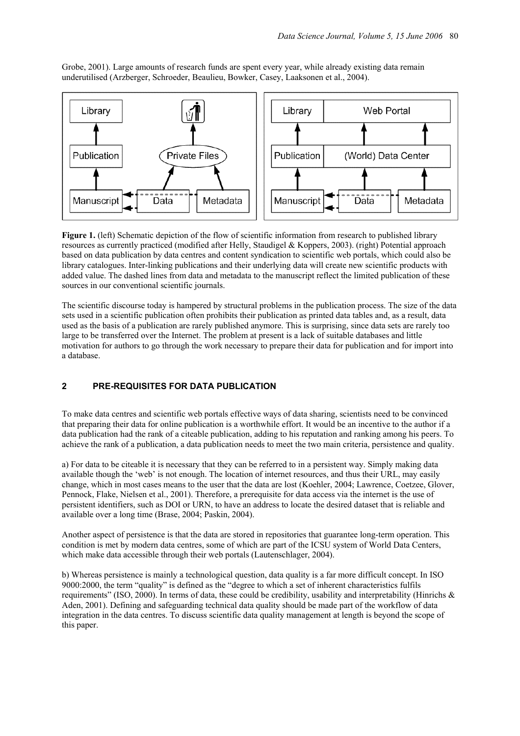Grobe, 2001). Large amounts of research funds are spent every year, while already existing data remain underutilised (Arzberger, Schroeder, Beaulieu, Bowker, Casey, Laaksonen et al., 2004).



**Figure 1.** (left) Schematic depiction of the flow of scientific information from research to published library resources as currently practiced (modified after Helly, Staudigel & Koppers, 2003). (right) Potential approach based on data publication by data centres and content syndication to scientific web portals, which could also be library catalogues. Inter-linking publications and their underlying data will create new scientific products with added value. The dashed lines from data and metadata to the manuscript reflect the limited publication of these sources in our conventional scientific journals.

The scientific discourse today is hampered by structural problems in the publication process. The size of the data sets used in a scientific publication often prohibits their publication as printed data tables and, as a result, data used as the basis of a publication are rarely published anymore. This is surprising, since data sets are rarely too large to be transferred over the Internet. The problem at present is a lack of suitable databases and little motivation for authors to go through the work necessary to prepare their data for publication and for import into a database.

## **2 PRE-REQUISITES FOR DATA PUBLICATION**

To make data centres and scientific web portals effective ways of data sharing, scientists need to be convinced that preparing their data for online publication is a worthwhile effort. It would be an incentive to the author if a data publication had the rank of a citeable publication, adding to his reputation and ranking among his peers. To achieve the rank of a publication, a data publication needs to meet the two main criteria, persistence and quality.

a) For data to be citeable it is necessary that they can be referred to in a persistent way. Simply making data available though the 'web' is not enough. The location of internet resources, and thus their URL, may easily change, which in most cases means to the user that the data are lost (Koehler, 2004; Lawrence, Coetzee, Glover, Pennock, Flake, Nielsen et al., 2001). Therefore, a prerequisite for data access via the internet is the use of persistent identifiers, such as DOI or URN, to have an address to locate the desired dataset that is reliable and available over a long time (Brase, 2004; Paskin, 2004).

Another aspect of persistence is that the data are stored in repositories that guarantee long-term operation. This condition is met by modern data centres, some of which are part of the ICSU system of World Data Centers, which make data accessible through their web portals (Lautenschlager, 2004).

b) Whereas persistence is mainly a technological question, data quality is a far more difficult concept. In ISO 9000:2000, the term "quality" is defined as the "degree to which a set of inherent characteristics fulfils requirements" (ISO, 2000). In terms of data, these could be credibility, usability and interpretability (Hinrichs  $\&$ Aden, 2001). Defining and safeguarding technical data quality should be made part of the workflow of data integration in the data centres. To discuss scientific data quality management at length is beyond the scope of this paper.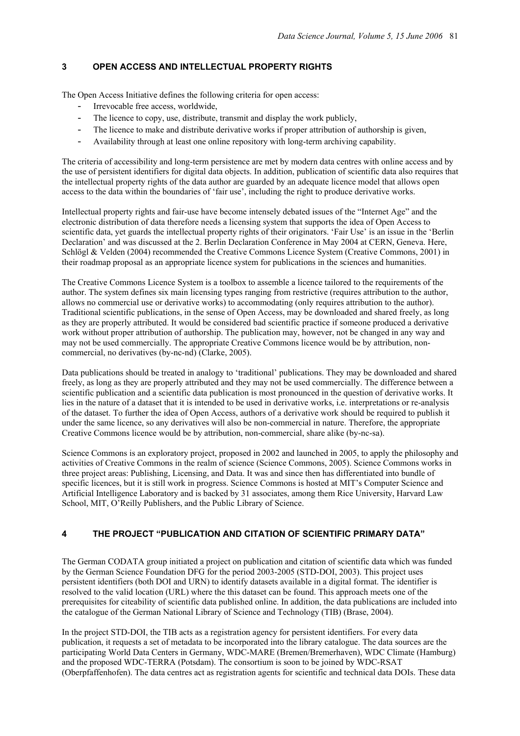## **3 OPEN ACCESS AND INTELLECTUAL PROPERTY RIGHTS**

The Open Access Initiative defines the following criteria for open access:

- Irrevocable free access, worldwide,
- The licence to copy, use, distribute, transmit and display the work publicly,
- The licence to make and distribute derivative works if proper attribution of authorship is given,
- Availability through at least one online repository with long-term archiving capability.

The criteria of accessibility and long-term persistence are met by modern data centres with online access and by the use of persistent identifiers for digital data objects. In addition, publication of scientific data also requires that the intellectual property rights of the data author are guarded by an adequate licence model that allows open access to the data within the boundaries of 'fair use', including the right to produce derivative works.

Intellectual property rights and fair-use have become intensely debated issues of the "Internet Age" and the electronic distribution of data therefore needs a licensing system that supports the idea of Open Access to scientific data, yet guards the intellectual property rights of their originators. 'Fair Use' is an issue in the 'Berlin Declaration' and was discussed at the 2. Berlin Declaration Conference in May 2004 at CERN, Geneva. Here, Schlögl & Velden (2004) recommended the Creative Commons Licence System (Creative Commons, 2001) in their roadmap proposal as an appropriate licence system for publications in the sciences and humanities.

The Creative Commons Licence System is a toolbox to assemble a licence tailored to the requirements of the author. The system defines six main licensing types ranging from restrictive (requires attribution to the author, allows no commercial use or derivative works) to accommodating (only requires attribution to the author). Traditional scientific publications, in the sense of Open Access, may be downloaded and shared freely, as long as they are properly attributed. It would be considered bad scientific practice if someone produced a derivative work without proper attribution of authorship. The publication may, however, not be changed in any way and may not be used commercially. The appropriate Creative Commons licence would be by attribution, noncommercial, no derivatives (by-nc-nd) (Clarke, 2005).

Data publications should be treated in analogy to 'traditional' publications. They may be downloaded and shared freely, as long as they are properly attributed and they may not be used commercially. The difference between a scientific publication and a scientific data publication is most pronounced in the question of derivative works. It lies in the nature of a dataset that it is intended to be used in derivative works, i.e. interpretations or re-analysis of the dataset. To further the idea of Open Access, authors of a derivative work should be required to publish it under the same licence, so any derivatives will also be non-commercial in nature. Therefore, the appropriate Creative Commons licence would be by attribution, non-commercial, share alike (by-nc-sa).

Science Commons is an exploratory project, proposed in 2002 and launched in 2005, to apply the philosophy and activities of Creative Commons in the realm of science (Science Commons, 2005). Science Commons works in three project areas: Publishing, Licensing, and Data. It was and since then has differentiated into bundle of specific licences, but it is still work in progress. Science Commons is hosted at MIT's Computer Science and Artificial Intelligence Laboratory and is backed by 31 associates, among them Rice University, Harvard Law School, MIT, O'Reilly Publishers, and the Public Library of Science.

## **4 THE PROJECT "PUBLICATION AND CITATION OF SCIENTIFIC PRIMARY DATA"**

The German CODATA group initiated a project on publication and citation of scientific data which was funded by the German Science Foundation DFG for the period 2003-2005 (STD-DOI, 2003). This project uses persistent identifiers (both DOI and URN) to identify datasets available in a digital format. The identifier is resolved to the valid location (URL) where the this dataset can be found. This approach meets one of the prerequisites for citeability of scientific data published online. In addition, the data publications are included into the catalogue of the German National Library of Science and Technology (TIB) (Brase, 2004).

In the project STD-DOI, the TIB acts as a registration agency for persistent identifiers. For every data publication, it requests a set of metadata to be incorporated into the library catalogue. The data sources are the participating World Data Centers in Germany, WDC-MARE (Bremen/Bremerhaven), WDC Climate (Hamburg) and the proposed WDC-TERRA (Potsdam). The consortium is soon to be joined by WDC-RSAT (Oberpfaffenhofen). The data centres act as registration agents for scientific and technical data DOIs. These data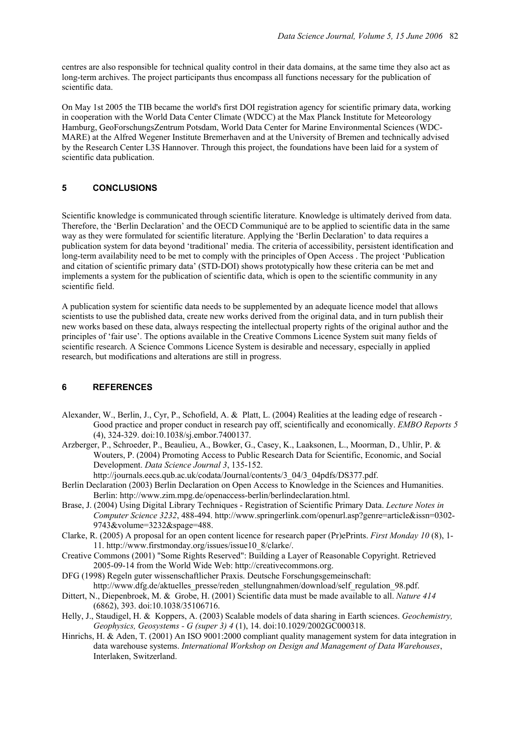centres are also responsible for technical quality control in their data domains, at the same time they also act as long-term archives. The project participants thus encompass all functions necessary for the publication of scientific data.

On May 1st 2005 the TIB became the world's first DOI registration agency for scientific primary data, working in cooperation with the World Data Center Climate (WDCC) at the Max Planck Institute for Meteorology Hamburg, GeoForschungsZentrum Potsdam, World Data Center for Marine Environmental Sciences (WDC-MARE) at the Alfred Wegener Institute Bremerhaven and at the University of Bremen and technically advised by the Research Center L3S Hannover. Through this project, the foundations have been laid for a system of scientific data publication.

## **5 CONCLUSIONS**

Scientific knowledge is communicated through scientific literature. Knowledge is ultimately derived from data. Therefore, the 'Berlin Declaration' and the OECD Communiqué are to be applied to scientific data in the same way as they were formulated for scientific literature. Applying the 'Berlin Declaration' to data requires a publication system for data beyond 'traditional' media. The criteria of accessibility, persistent identification and long-term availability need to be met to comply with the principles of Open Access . The project 'Publication and citation of scientific primary data' (STD-DOI) shows prototypically how these criteria can be met and implements a system for the publication of scientific data, which is open to the scientific community in any scientific field.

A publication system for scientific data needs to be supplemented by an adequate licence model that allows scientists to use the published data, create new works derived from the original data, and in turn publish their new works based on these data, always respecting the intellectual property rights of the original author and the principles of 'fair use'. The options available in the Creative Commons Licence System suit many fields of scientific research. A Science Commons Licence System is desirable and necessary, especially in applied research, but modifications and alterations are still in progress.

## **6 REFERENCES**

- Alexander, W., Berlin, J., Cyr, P., Schofield, A. & Platt, L. (2004) Realities at the leading edge of research Good practice and proper conduct in research pay off, scientifically and economically. *EMBO Reports 5* (4), 324-329. doi:10.1038/sj.embor.7400137.
- Arzberger, P., Schroeder, P., Beaulieu, A., Bowker, G., Casey, K., Laaksonen, L., Moorman, D., Uhlir, P. & Wouters, P. (2004) Promoting Access to Public Research Data for Scientific, Economic, and Social Development. *Data Science Journal 3*, 135-152.

http://journals.eecs.qub.ac.uk/codata/Journal/contents/3\_04/3\_04pdfs/DS377.pdf.

- Berlin Declaration (2003) Berlin Declaration on Open Access to Knowledge in the Sciences and Humanities. Berlin: http://www.zim.mpg.de/openaccess-berlin/berlindeclaration.html.
- Brase, J. (2004) Using Digital Library Techniques Registration of Scientific Primary Data. *Lecture Notes in Computer Science 3232*, 488-494. http://www.springerlink.com/openurl.asp?genre=article&issn=0302- 9743&volume=3232&spage=488.
- Clarke, R. (2005) A proposal for an open content licence for research paper (Pr)ePrints. *First Monday 10* (8), 1- 11. http://www.firstmonday.org/issues/issue10\_8/clarke/.
- Creative Commons (2001) "Some Rights Reserved": Building a Layer of Reasonable Copyright. Retrieved 2005-09-14 from the World Wide Web: http://creativecommons.org.
- DFG (1998) Regeln guter wissenschaftlicher Praxis. Deutsche Forschungsgemeinschaft: http://www.dfg.de/aktuelles\_presse/reden\_stellungnahmen/download/self\_regulation\_98.pdf.
- Dittert, N., Diepenbroek, M. & Grobe, H. (2001) Scientific data must be made available to all. *Nature 414* (6862), 393. doi:10.1038/35106716.
- Helly, J., Staudigel, H. & Koppers, A. (2003) Scalable models of data sharing in Earth sciences. *Geochemistry, Geophysics, Geosystems - G (super 3) 4* (1), 14. doi:10.1029/2002GC000318.
- Hinrichs, H. & Aden, T. (2001) An ISO 9001:2000 compliant quality management system for data integration in data warehouse systems. *International Workshop on Design and Management of Data Warehouses*, Interlaken, Switzerland.